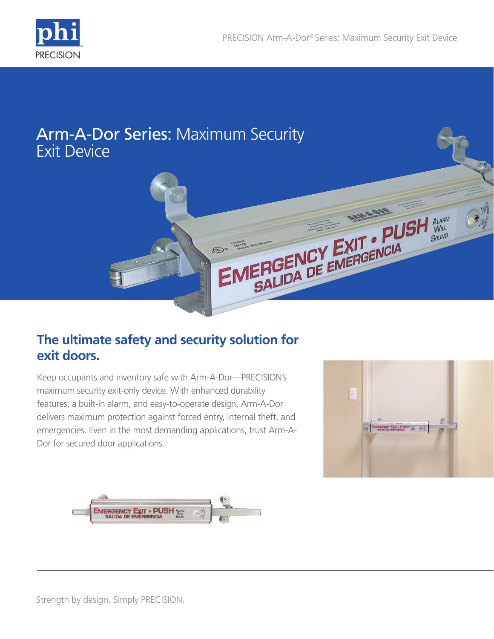

# Arm-A-Dor Series: Maximum Security Exit Device



## **The ultimate safety and security solution for exit doors.**

Keep occupants and inventory safe with Arm-A-Dor—PRECISION's maximum security exit-only device. With enhanced durability features, a built-in alarm, and easy-to-operate design, Arm-A-Dor delivers maximum protection against forced entry, internal theft, and emergencies. Even in the most demanding applications, trust Arm-A-Dor for secured door applications.